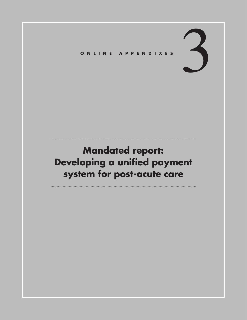# 3 **Online Appen <sup>d</sup> ixes**

# **Mandated report: Developing a unified payment system for post-acute care**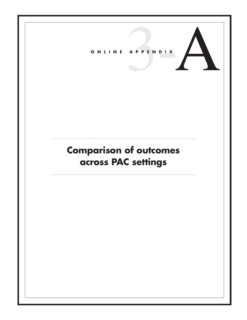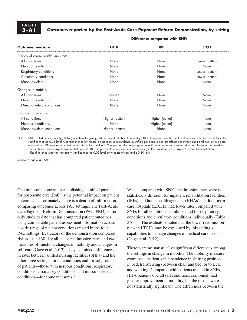# **TAB LE**

### Outcomes reported by the Post-Acute Care Payment Reform Demonstration, by setting

| <b>Outcome measure</b>            | <b>Difference compared with SNFs</b> |                 |                |
|-----------------------------------|--------------------------------------|-----------------|----------------|
|                                   | <b>HHA</b>                           | <b>IRF</b>      | <b>LTCH</b>    |
| 30-day all-cause readmission rate |                                      |                 |                |
| All conditions                    | None                                 | None            | Lower (better) |
| Nervous conditions                | None                                 | None            | None           |
| Respiratory conditions            | None                                 | None            | Lower (better) |
| Circulatory conditions            | None                                 | None            | Lower (better) |
| Musculoskeletal                   | None                                 | None            | None           |
| Changes in mobility               |                                      |                 |                |
| All conditions                    | None*                                | None            | None           |
| Nervous conditions                | None                                 | None            | None           |
| Musculoskeletal conditions        | None                                 | None            | None           |
| Changes in self-care              |                                      |                 |                |
| All conditions                    | Higher (better)                      | Higher (better) | None           |
| Nervous conditions                | None                                 | Higher (better) | None           |
| Musculoskeletal conditions        | Higher (better)                      | None            | None           |

Note: SNF (skilled nursing facility), HHA (home health agency), IRF (inpatient rehabilitation facility), LTCH (long-term care hospital). Differences indicated are statistically significant at the 0.05 level. Changes in mobility measure a patient's independence in shifting positions in bed, transferring (between chair and bed, or to a car), and walking. Differences indicated were statistically significant. Changes in self-care gauge a patient's independence in eating, dressing, hygiene, and washing. The analyses include stays between 2008 and 2010 from post-acute care providers participating in the Post-Acute Care Payment Reform Demonstration. \*The difference was not statistically significant at the 0.05 level but was significant at the 0.10 level.

Source: Gage et al. 2012.

One important concern in establishing a unified payment for post-acute care (PAC) is the potential impact on patient outcomes. Unfortunately, there is a dearth of information comparing outcomes across PAC settings. The Post-Acute Care Payment Reform Demonstration (PAC–PRD) is the only study to date that has compared patient outcomes using comparable patient assessment information across a wide range of patient conditions treated in the four PAC settings. Evaluators of the demonstration compared risk-adjusted 30-day all-cause readmission rates and two measures of function: changes in mobility and changes in self-care (Gage et al. 2012). They examined differences in rates between skilled nursing facilities (SNFs) and the other three settings for all conditions and for subgroups of patients—those with nervous conditions, respiratory conditions, circulatory conditions, and musculoskeletal conditions—for some measures.<sup>1</sup>

When compared with SNFs, readmission rates were not statistically different for inpatient rehabilitation facilities (IRFs) and home health agencies (HHAs), but long-term care hospitals (LTCHs) had lower rates compared with SNFs for all conditions combined and for respiratory conditions and circulatory conditions individually (Table 3A-1).<sup>2</sup> The evaluators noted that the lower readmission rates in LTCHs may be explained by this setting's capabilities to manage changes in medical care needs (Gage et al. 2012).

There were no statistically significant differences among the settings in change in mobility. The mobility measure examines a patient's independence in shifting positions in bed, transferring (between chair and bed, or to a car), and walking. Compared with patients treated in SNFs, HHA patients overall (all conditions combined) had greater improvement in mobility, but the results were not statistically significant. The differences between the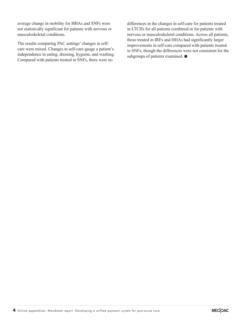average change in mobility for HHAs and SNFs were not statistically significant for patients with nervous or musculoskeletal conditions.

The results comparing PAC settings' changes in selfcare were mixed. Changes in self-care gauge a patient's independence in eating, dressing, hygiene, and washing. Compared with patients treated in SNFs, there were no

differences in the changes in self-care for patients treated in LTCHs for all patients combined or for patients with nervous or musculoskeletal conditions. Across all patients, those treated in IRFs and HHAs had significantly larger improvements in self-care compared with patients treated in SNFs, though the differences were not consistent for the subgroups of patients examined. ■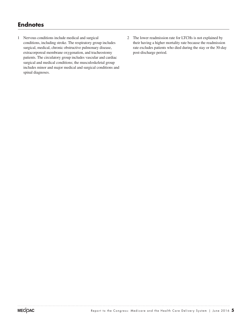## **Endnotes**

- 1 Nervous conditions include medical and surgical conditions, including stroke. The respiratory group includes surgical, medical, chronic obstructive pulmonary disease, extracorporeal membrane oxygenation, and tracheostomy patients. The circulatory group includes vascular and cardiac surgical and medical conditions; the musculoskeletal group includes minor and major medical and surgical conditions and spinal diagnoses.
- 2 The lower readmission rate for LTCHs is not explained by their having a higher mortality rate because the readmission rate excludes patients who died during the stay or the 30-day post-discharge period.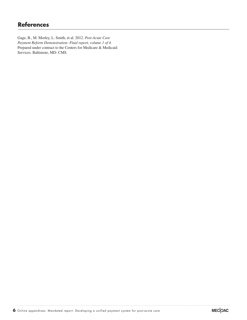### **References**

Gage, B., M. Morley, L. Smith, et al. 2012. *Post-Acute Care Payment Reform Demonstration: Final report, volume 1 of 4.* Prepared under contract to the Centers for Medicare & Medicaid Services. Baltimore, MD: CMS.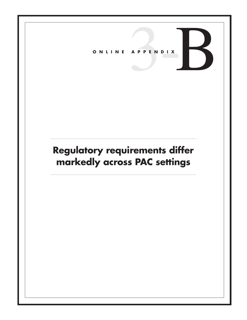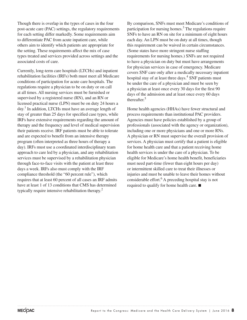Though there is overlap in the types of cases in the four post-acute care (PAC) settings, the regulatory requirements for each setting differ markedly. Some requirements aim to differentiate PAC from acute inpatient care, while others aim to identify which patients are appropriate for the setting. These requirements affect the mix of case types treated and services provided across settings and the associated costs of care.

Currently, long-term care hospitals (LTCHs) and inpatient rehabilitation facilities (IRFs) both must meet all Medicare conditions of participation for acute care hospitals. The regulations require a physician to be on duty or on call at all times. All nursing services must be furnished or supervised by a registered nurse (RN), and an RN or licensed practical nurse (LPN) must be on duty 24 hours a day.<sup>1</sup> In addition, LTCHs must have an average length of stay of greater than 25 days for specified case types, while IRFs have extensive requirements regarding the amount of therapy and the frequency and level of medical supervision their patients receive. IRF patients must be able to tolerate and are expected to benefit from an intensive therapy program (often interpreted as three hours of therapy a day). IRFs must use a coordinated interdisciplinary team approach to care led by a physician, and any rehabilitation services must be supervised by a rehabilitation physician through face-to-face visits with the patient at least three days a week. IRFs also must comply with the IRF compliance threshold (the "60 percent rule"), which requires that at least 60 percent of all cases an IRF admits have at least 1 of 13 conditions that CMS has determined typically require intensive rehabilitation therapy.2

By comparison, SNFs must meet Medicare's conditions of participation for nursing homes. $3$  The regulations require SNFs to have an RN on site for a minimum of eight hours each day. An LPN must be on duty at all times, though this requirement can be waived in certain circumstances. (Some states have more stringent nurse staffing requirements for nursing homes.) SNFs are not required to have a physician on duty but must have arrangements for physician services in case of emergency. Medicare covers SNF care only after a medically necessary inpatient hospital stay of at least three days.<sup>4</sup> SNF patients must be under the care of a physician and must be seen by a physician at least once every 30 days for the first 90 days of the admission and at least once every 60 days thereafter.5

Home health agencies (HHAs) have fewer structural and process requirements than institutional PAC providers. Agencies must have policies established by a group of professionals (associated with the agency or organization), including one or more physicians and one or more RNs. A physician or RN must supervise the overall provision of services. A physician must certify that a patient is eligible for home health care and that a patient receiving home health services is under the care of a physician. To be eligible for Medicare's home health benefit, beneficiaries must need part-time (fewer than eight hours per day) or intermittent skilled care to treat their illnesses or injuries and must be unable to leave their homes without considerable effort.<sup>6</sup> A preceding hospital stay is not required to qualify for home health care. ■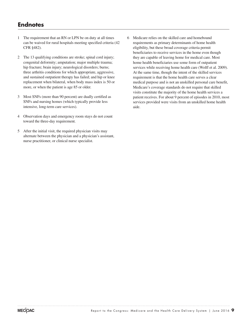### **Endnotes**

- 1 The requirement that an RN or LPN be on duty at all times can be waived for rural hospitals meeting specified criteria (42 CFR §482).
- 2 The 13 qualifying conditions are stroke; spinal cord injury; congenital deformity; amputation; major multiple trauma; hip fracture; brain injury; neurological disorders; burns; three arthritis conditions for which appropriate, aggressive, and sustained outpatient therapy has failed; and hip or knee replacement when bilateral, when body mass index is 50 or more, or when the patient is age 85 or older.
- 3 Most SNFs (more than 90 percent) are dually certified as SNFs and nursing homes (which typically provide less intensive, long-term care services).
- 4 Observation days and emergency room stays do not count toward the three-day requirement.
- 5 After the initial visit, the required physician visits may alternate between the physician and a physician's assistant, nurse practitioner, or clinical nurse specialist.
- 6 Medicare relies on the skilled care and homebound requirements as primary determinants of home health eligibility, but these broad coverage criteria permit beneficiaries to receive services in the home even though they are capable of leaving home for medical care. Most home health beneficiaries use some form of outpatient services while receiving home health care (Wolff et al. 2009). At the same time, though the intent of the skilled services requirement is that the home health care serves a clear medical purpose and is not an unskilled personal care benefit, Medicare's coverage standards do not require that skilled visits constitute the majority of the home health services a patient receives. For about 9 percent of episodes in 2010, most services provided were visits from an unskilled home health aide.